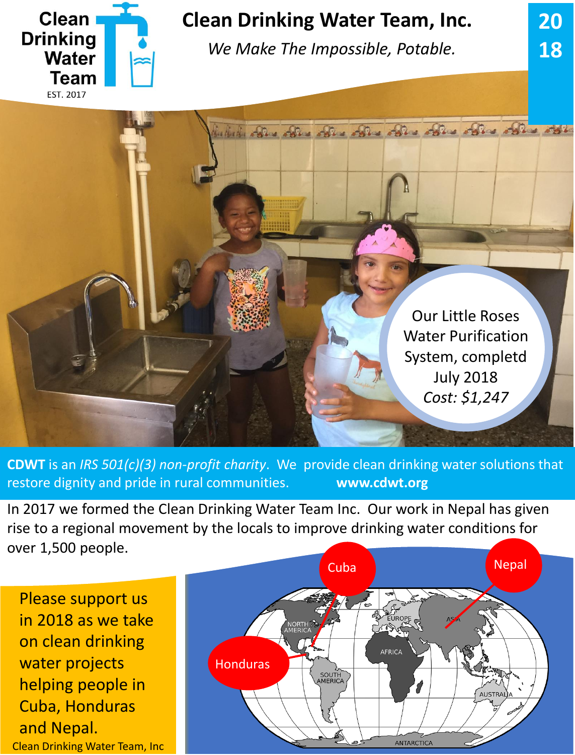

## **Clean Drinking Water Team, Inc.**

*We Make The Impossible, Potable.*

**20**

**18**

heliche alles alles alles alles alles alles alles alles Our Little Roses Water Purification System, completd July 2018 *Cost: \$1,247*

**CDWT** is an *IRS 501(c)(3) non-profit charity*. We provide clean drinking water solutions that restore dignity and pride in rural communities. **www.cdwt.org**

In 2017 we formed the Clean Drinking Water Team Inc. Our work in Nepal has given rise to a regional movement by the locals to improve drinking water conditions for over 1,500 people.

Please support us in 2018 as we take on clean drinking water projects helping people in Cuba, Honduras and Nepal. Clean Drinking Water Team, Inc